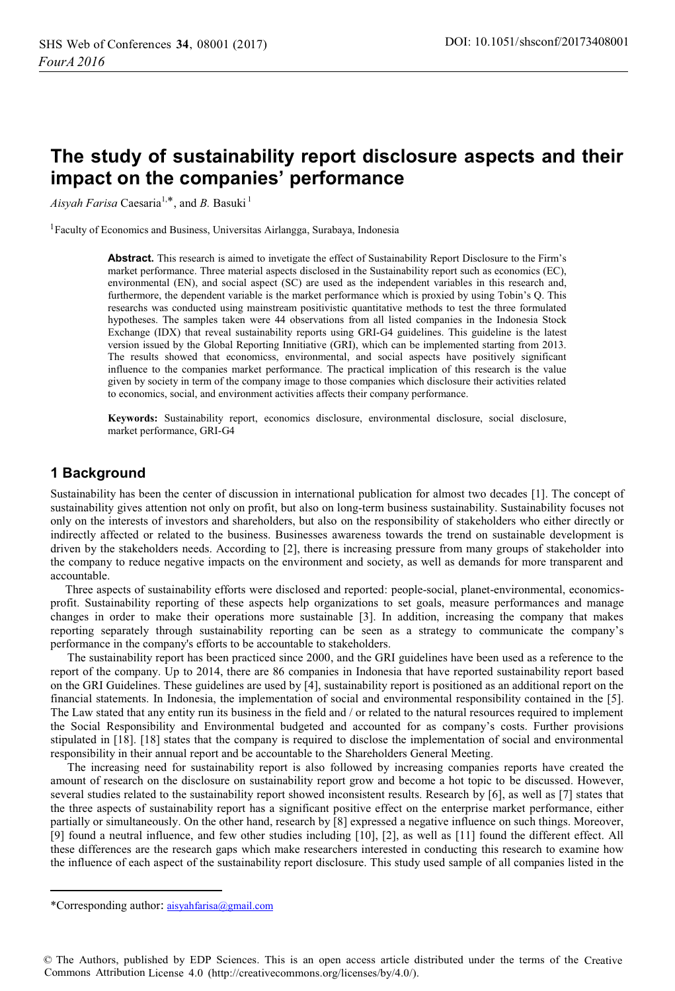# **The study of sustainability report disclosure aspects and their impact on the companies' performance**

Aisy*ah Farisa* Caesaria<sup>1,\*</sup>, and *B*. Basuki<sup>1</sup>

<sup>1</sup> Faculty of Economics and Business, Universitas Airlangga, Surabaya, Indonesia

**Abstract.** This research is aimed to invetigate the effect of Sustainability Report Disclosure to the Firm's market performance. Three material aspects disclosed in the Sustainability report such as economics (EC), environmental (EN), and social aspect (SC) are used as the independent variables in this research and, furthermore, the dependent variable is the market performance which is proxied by using Tobin's Q. This researchs was conducted using mainstream positivistic quantitative methods to test the three formulated hypotheses. The samples taken were 44 observations from all listed companies in the Indonesia Stock Exchange (IDX) that reveal sustainability reports using GRI-G4 guidelines. This guideline is the latest version issued by the Global Reporting Innitiative (GRI), which can be implemented starting from 2013. The results showed that economicss, environmental, and social aspects have positively significant influence to the companies market performance. The practical implication of this research is the value given by society in term of the company image to those companies which disclosure their activities related to economics, social, and environment activities affects their company performance.

**Keywords:** Sustainability report, economics disclosure, environmental disclosure, social disclosure, market performance, GRI-G4

## **1 Background**

Sustainability has been the center of discussion in international publication for almost two decades [1]. The concept of sustainability gives attention not only on profit, but also on long-term business sustainability. Sustainability focuses not only on the interests of investors and shareholders, but also on the responsibility of stakeholders who either directly or indirectly affected or related to the business. Businesses awareness towards the trend on sustainable development is driven by the stakeholders needs. According to [2], there is increasing pressure from many groups of stakeholder into the company to reduce negative impacts on the environment and society, as well as demands for more transparent and accountable.

 Three aspects of sustainability efforts were disclosed and reported: people-social, planet-environmental, economicsprofit. Sustainability reporting of these aspects help organizations to set goals, measure performances and manage changes in order to make their operations more sustainable [3]. In addition, increasing the company that makes reporting separately through sustainability reporting can be seen as a strategy to communicate the company's performance in the company's efforts to be accountable to stakeholders.

The sustainability report has been practiced since 2000, and the GRI guidelines have been used as a reference to the report of the company. Up to 2014, there are 86 companies in Indonesia that have reported sustainability report based on the GRI Guidelines. These guidelines are used by [4], sustainability report is positioned as an additional report on the financial statements. In Indonesia, the implementation of social and environmental responsibility contained in the [5]. The Law stated that any entity run its business in the field and / or related to the natural resources required to implement the Social Responsibility and Environmental budgeted and accounted for as company's costs. Further provisions stipulated in [18]. [18] states that the company is required to disclose the implementation of social and environmental responsibility in their annual report and be accountable to the Shareholders General Meeting.

The increasing need for sustainability report is also followed by increasing companies reports have created the amount of research on the disclosure on sustainability report grow and become a hot topic to be discussed. However, several studies related to the sustainability report showed inconsistent results. Research by [6], as well as [7] states that the three aspects of sustainability report has a significant positive effect on the enterprise market performance, either partially or simultaneously. On the other hand, research by [8] expressed a negative influence on such things. Moreover, [9] found a neutral influence, and few other studies including [10], [2], as well as [11] found the different effect. All these differences are the research gaps which make researchers interested in conducting this research to examine how the influence of each aspect of the sustainability report disclosure. This study used sample of all companies listed in the

 $\overline{a}$ 

<sup>\*</sup>Corresponding author: aisyahfarisa@gmail.com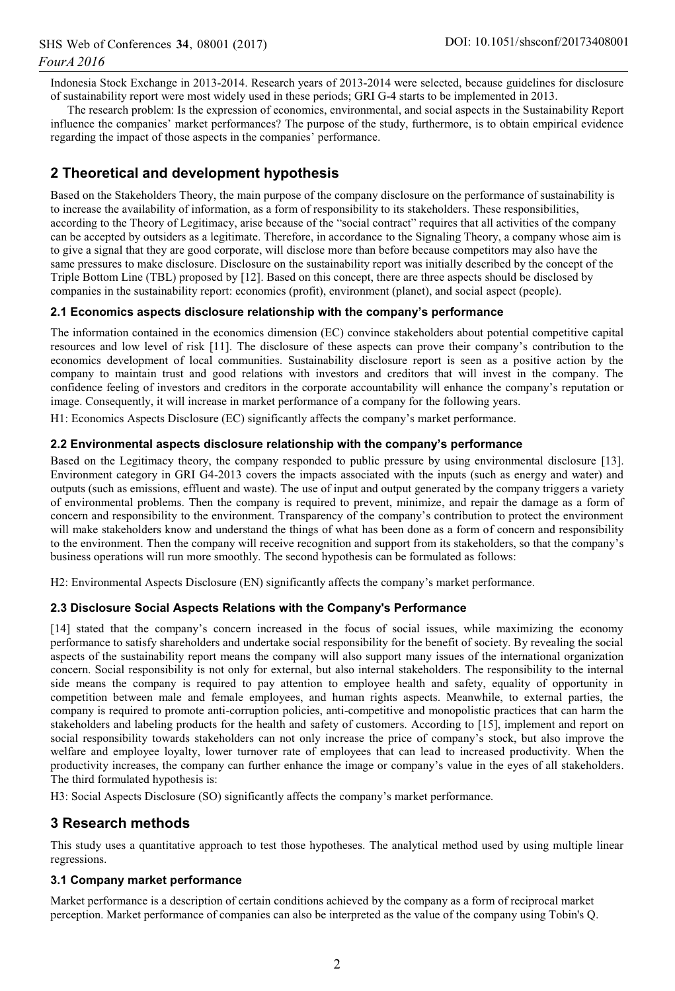Indonesia Stock Exchange in 2013-2014. Research years of 2013-2014 were selected, because guidelines for disclosure of sustainability report were most widely used in these periods; GRI G-4 starts to be implemented in 2013.

The research problem: Is the expression of economics, environmental, and social aspects in the Sustainability Report influence the companies' market performances? The purpose of the study, furthermore, is to obtain empirical evidence regarding the impact of those aspects in the companies' performance.

## **2 Theoretical and development hypothesis**

Based on the Stakeholders Theory, the main purpose of the company disclosure on the performance of sustainability is to increase the availability of information, as a form of responsibility to its stakeholders. These responsibilities, according to the Theory of Legitimacy, arise because of the "social contract" requires that all activities of the company can be accepted by outsiders as a legitimate. Therefore, in accordance to the Signaling Theory, a company whose aim is to give a signal that they are good corporate, will disclose more than before because competitors may also have the same pressures to make disclosure. Disclosure on the sustainability report was initially described by the concept of the Triple Bottom Line (TBL) proposed by [12]. Based on this concept, there are three aspects should be disclosed by companies in the sustainability report: economics (profit), environment (planet), and social aspect (people).

## **2.1 Economics aspects disclosure relationship with the company's performance**

The information contained in the economics dimension (EC) convince stakeholders about potential competitive capital resources and low level of risk [11]. The disclosure of these aspects can prove their company's contribution to the economics development of local communities. Sustainability disclosure report is seen as a positive action by the company to maintain trust and good relations with investors and creditors that will invest in the company. The confidence feeling of investors and creditors in the corporate accountability will enhance the company's reputation or image. Consequently, it will increase in market performance of a company for the following years.

H1: Economics Aspects Disclosure (EC) significantly affects the company's market performance.

## **2.2 Environmental aspects disclosure relationship with the company's performance**

Based on the Legitimacy theory, the company responded to public pressure by using environmental disclosure [13]. Environment category in GRI G4-2013 covers the impacts associated with the inputs (such as energy and water) and outputs (such as emissions, effluent and waste). The use of input and output generated by the company triggers a variety of environmental problems. Then the company is required to prevent, minimize, and repair the damage as a form of concern and responsibility to the environment. Transparency of the company's contribution to protect the environment will make stakeholders know and understand the things of what has been done as a form of concern and responsibility to the environment. Then the company will receive recognition and support from its stakeholders, so that the company's business operations will run more smoothly. The second hypothesis can be formulated as follows:

H2: Environmental Aspects Disclosure (EN) significantly affects the company's market performance.

## **2.3 Disclosure Social Aspects Relations with the Company's Performance**

[14] stated that the company's concern increased in the focus of social issues, while maximizing the economy performance to satisfy shareholders and undertake social responsibility for the benefit of society. By revealing the social aspects of the sustainability report means the company will also support many issues of the international organization concern. Social responsibility is not only for external, but also internal stakeholders. The responsibility to the internal side means the company is required to pay attention to employee health and safety, equality of opportunity in competition between male and female employees, and human rights aspects. Meanwhile, to external parties, the company is required to promote anti-corruption policies, anti-competitive and monopolistic practices that can harm the stakeholders and labeling products for the health and safety of customers. According to [15], implement and report on social responsibility towards stakeholders can not only increase the price of company's stock, but also improve the welfare and employee loyalty, lower turnover rate of employees that can lead to increased productivity. When the productivity increases, the company can further enhance the image or company's value in the eyes of all stakeholders. The third formulated hypothesis is:

H3: Social Aspects Disclosure (SO) significantly affects the company's market performance.

## **3 Research methods**

This study uses a quantitative approach to test those hypotheses. The analytical method used by using multiple linear regressions.

## **3.1 Company market performance**

Market performance is a description of certain conditions achieved by the company as a form of reciprocal market perception. Market performance of companies can also be interpreted as the value of the company using Tobin's Q.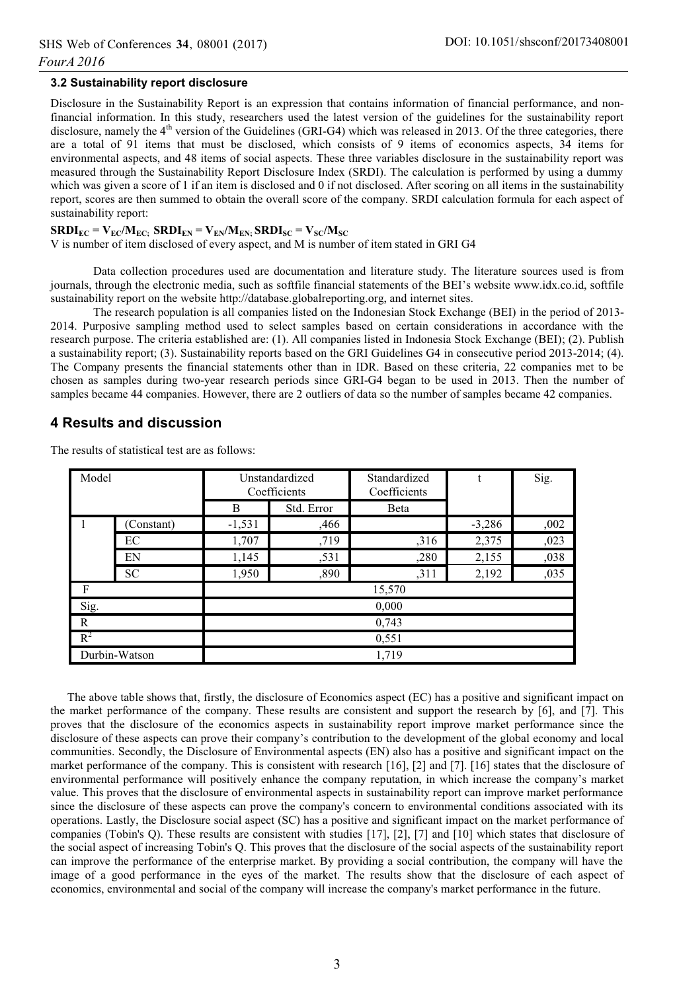#### **3.2 Sustainability report disclosure**

Disclosure in the Sustainability Report is an expression that contains information of financial performance, and nonfinancial information. In this study, researchers used the latest version of the guidelines for the sustainability report disclosure, namely the  $4<sup>th</sup>$  version of the Guidelines (GRI-G4) which was released in 2013. Of the three categories, there are a total of 91 items that must be disclosed, which consists of 9 items of economics aspects, 34 items for environmental aspects, and 48 items of social aspects. These three variables disclosure in the sustainability report was measured through the Sustainability Report Disclosure Index (SRDI). The calculation is performed by using a dummy which was given a score of 1 if an item is disclosed and 0 if not disclosed. After scoring on all items in the sustainability report, scores are then summed to obtain the overall score of the company. SRDI calculation formula for each aspect of sustainability report:

#### $\text{SRDI}_{\text{EC}} = \text{V}_{\text{EC}}/\text{M}_{\text{EC}}$ ;  $\text{SRDI}_{\text{EN}} = \text{V}_{\text{EN}}/\text{M}_{\text{EN}}$ ;  $\text{SRDI}_{\text{SC}} = \text{V}_{\text{SC}}/\text{M}_{\text{SC}}$

V is number of item disclosed of every aspect, and M is number of item stated in GRI G4

Data collection procedures used are documentation and literature study. The literature sources used is from journals, through the electronic media, such as softfile financial statements of the BEI's website www.idx.co.id, softfile sustainability report on the website http://database.globalreporting.org, and internet sites.

The research population is all companies listed on the Indonesian Stock Exchange (BEI) in the period of 2013- 2014. Purposive sampling method used to select samples based on certain considerations in accordance with the research purpose. The criteria established are: (1). All companies listed in Indonesia Stock Exchange (BEI); (2). Publish a sustainability report; (3). Sustainability reports based on the GRI Guidelines G4 in consecutive period 2013-2014; (4). The Company presents the financial statements other than in IDR. Based on these criteria, 22 companies met to be chosen as samples during two-year research periods since GRI-G4 began to be used in 2013. Then the number of samples became 44 companies. However, there are 2 outliers of data so the number of samples became 42 companies.

#### **4 Results and discussion**

| Model         |            | Unstandardized<br>Coefficients |            | Standardized<br>Coefficients | t        | Sig. |  |
|---------------|------------|--------------------------------|------------|------------------------------|----------|------|--|
|               |            | B                              | Std. Error | Beta                         |          |      |  |
| 1             | (Constant) | $-1,531$                       | ,466       |                              | $-3,286$ | ,002 |  |
|               | EC         | 1,707                          | ,719       | ,316                         | 2,375    | ,023 |  |
|               | EN         | 1,145                          | ,531       | ,280                         | 2,155    | ,038 |  |
|               | <b>SC</b>  | 1,950                          | ,890       | , 311                        | 2,192    | ,035 |  |
| F             |            | 15,570                         |            |                              |          |      |  |
| Sig.          |            | 0,000                          |            |                              |          |      |  |
| R             |            | 0,743                          |            |                              |          |      |  |
| $R^2$         |            | 0,551                          |            |                              |          |      |  |
| Durbin-Watson |            |                                | 1,719      |                              |          |      |  |

The results of statistical test are as follows:

The above table shows that, firstly, the disclosure of Economics aspect (EC) has a positive and significant impact on the market performance of the company. These results are consistent and support the research by [6], and [7]. This proves that the disclosure of the economics aspects in sustainability report improve market performance since the disclosure of these aspects can prove their company's contribution to the development of the global economy and local communities. Secondly, the Disclosure of Environmental aspects (EN) also has a positive and significant impact on the market performance of the company. This is consistent with research [16], [2] and [7]. [16] states that the disclosure of environmental performance will positively enhance the company reputation, in which increase the company's market value. This proves that the disclosure of environmental aspects in sustainability report can improve market performance since the disclosure of these aspects can prove the company's concern to environmental conditions associated with its operations. Lastly, the Disclosure social aspect (SC) has a positive and significant impact on the market performance of companies (Tobin's Q). These results are consistent with studies [17], [2], [7] and [10] which states that disclosure of the social aspect of increasing Tobin's Q. This proves that the disclosure of the social aspects of the sustainability report can improve the performance of the enterprise market. By providing a social contribution, the company will have the image of a good performance in the eyes of the market. The results show that the disclosure of each aspect of economics, environmental and social of the company will increase the company's market performance in the future.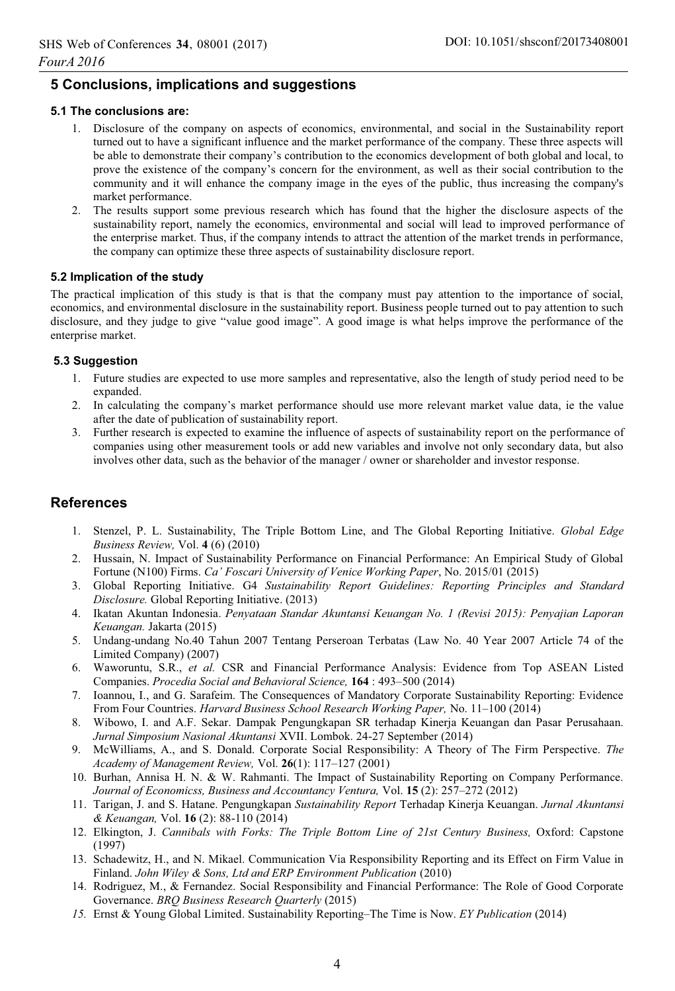## **5 Conclusions, implications and suggestions**

#### **5.1 The conclusions are:**

- 1. Disclosure of the company on aspects of economics, environmental, and social in the Sustainability report turned out to have a significant influence and the market performance of the company. These three aspects will be able to demonstrate their company's contribution to the economics development of both global and local, to prove the existence of the company's concern for the environment, as well as their social contribution to the community and it will enhance the company image in the eyes of the public, thus increasing the company's market performance.
- 2. The results support some previous research which has found that the higher the disclosure aspects of the sustainability report, namely the economics, environmental and social will lead to improved performance of the enterprise market. Thus, if the company intends to attract the attention of the market trends in performance, the company can optimize these three aspects of sustainability disclosure report.

#### **5.2 Implication of the study**

The practical implication of this study is that is that the company must pay attention to the importance of social, economics, and environmental disclosure in the sustainability report. Business people turned out to pay attention to such disclosure, and they judge to give "value good image". A good image is what helps improve the performance of the enterprise market.

#### **5.3 Suggestion**

- 1. Future studies are expected to use more samples and representative, also the length of study period need to be expanded.
- 2. In calculating the company's market performance should use more relevant market value data, ie the value after the date of publication of sustainability report.
- 3. Further research is expected to examine the influence of aspects of sustainability report on the performance of companies using other measurement tools or add new variables and involve not only secondary data, but also involves other data, such as the behavior of the manager / owner or shareholder and investor response.

## **References**

- 1. Stenzel, P. L. Sustainability, The Triple Bottom Line, and The Global Reporting Initiative. *Global Edge Business Review,* Vol. **4** (6) (2010)
- 2. Hussain, N. Impact of Sustainability Performance on Financial Performance: An Empirical Study of Global Fortune (N100) Firms. *Ca' Foscari University of Venice Working Paper*, No. 2015/01 (2015)
- 3. Global Reporting Initiative. G4 *Sustainability Report Guidelines: Reporting Principles and Standard Disclosure.* Global Reporting Initiative. (2013)
- 4. Ikatan Akuntan Indonesia. *Penyataan Standar Akuntansi Keuangan No. 1 (Revisi 2015): Penyajian Laporan Keuangan.* Jakarta (2015)
- 5. Undang-undang No.40 Tahun 2007 Tentang Perseroan Terbatas (Law No. 40 Year 2007 Article 74 of the Limited Company) (2007)
- 6. Waworuntu, S.R., *et al.* CSR and Financial Performance Analysis: Evidence from Top ASEAN Listed Companies. *Procedia Social and Behavioral Science,* **164** : 493–500 (2014)
- 7. Ioannou, I., and G. Sarafeim. The Consequences of Mandatory Corporate Sustainability Reporting: Evidence From Four Countries. *Harvard Business School Research Working Paper,* No. 11–100 (2014)
- 8. Wibowo, I. and A.F. Sekar. Dampak Pengungkapan SR terhadap Kinerja Keuangan dan Pasar Perusahaan. *Jurnal Simposium Nasional Akuntansi* XVII. Lombok. 24-27 September (2014)
- 9. McWilliams, A., and S. Donald. Corporate Social Responsibility: A Theory of The Firm Perspective. *The Academy of Management Review,* Vol. **26**(1): 117–127 (2001)
- 10. Burhan, Annisa H. N. & W. Rahmanti. The Impact of Sustainability Reporting on Company Performance. *Journal of Economicss, Business and Accountancy Ventura,* Vol. **15** (2): 257–272 (2012)
- 11. Tarigan, J. and S. Hatane. Pengungkapan *Sustainability Report* Terhadap Kinerja Keuangan. *Jurnal Akuntansi & Keuangan,* Vol. **16** (2): 88-110 (2014)
- 12. Elkington, J. *Cannibals with Forks: The Triple Bottom Line of 21st Century Business,* Oxford: Capstone (1997)
- 13. Schadewitz, H., and N. Mikael. Communication Via Responsibility Reporting and its Effect on Firm Value in Finland. *John Wiley & Sons, Ltd and ERP Environment Publication* (2010)
- 14. Rodriguez, M., & Fernandez. Social Responsibility and Financial Performance: The Role of Good Corporate Governance. *BRQ Business Research Quarterly* (2015)
- *15.* Ernst & Young Global Limited. Sustainability Reporting–The Time is Now. *EY Publication* (2014)